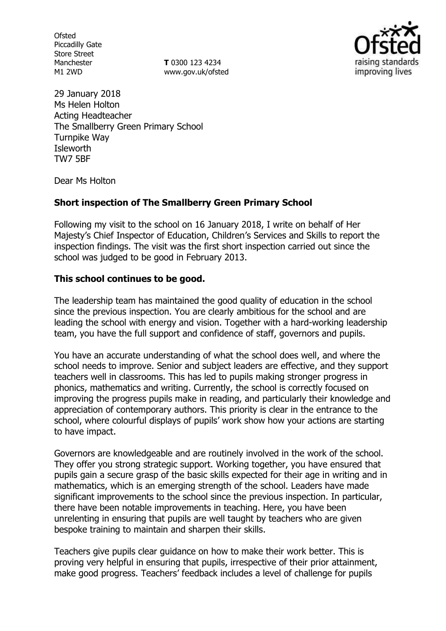**Ofsted** Piccadilly Gate Store Street Manchester M1 2WD

**T** 0300 123 4234 www.gov.uk/ofsted



29 January 2018 Ms Helen Holton Acting Headteacher The Smallberry Green Primary School Turnpike Way **Isleworth** TW7 5BF

Dear Ms Holton

## **Short inspection of The Smallberry Green Primary School**

Following my visit to the school on 16 January 2018, I write on behalf of Her Majesty's Chief Inspector of Education, Children's Services and Skills to report the inspection findings. The visit was the first short inspection carried out since the school was judged to be good in February 2013.

## **This school continues to be good.**

The leadership team has maintained the good quality of education in the school since the previous inspection. You are clearly ambitious for the school and are leading the school with energy and vision. Together with a hard-working leadership team, you have the full support and confidence of staff, governors and pupils.

You have an accurate understanding of what the school does well, and where the school needs to improve. Senior and subject leaders are effective, and they support teachers well in classrooms. This has led to pupils making stronger progress in phonics, mathematics and writing. Currently, the school is correctly focused on improving the progress pupils make in reading, and particularly their knowledge and appreciation of contemporary authors. This priority is clear in the entrance to the school, where colourful displays of pupils' work show how your actions are starting to have impact.

Governors are knowledgeable and are routinely involved in the work of the school. They offer you strong strategic support. Working together, you have ensured that pupils gain a secure grasp of the basic skills expected for their age in writing and in mathematics, which is an emerging strength of the school. Leaders have made significant improvements to the school since the previous inspection. In particular, there have been notable improvements in teaching. Here, you have been unrelenting in ensuring that pupils are well taught by teachers who are given bespoke training to maintain and sharpen their skills.

Teachers give pupils clear guidance on how to make their work better. This is proving very helpful in ensuring that pupils, irrespective of their prior attainment, make good progress. Teachers' feedback includes a level of challenge for pupils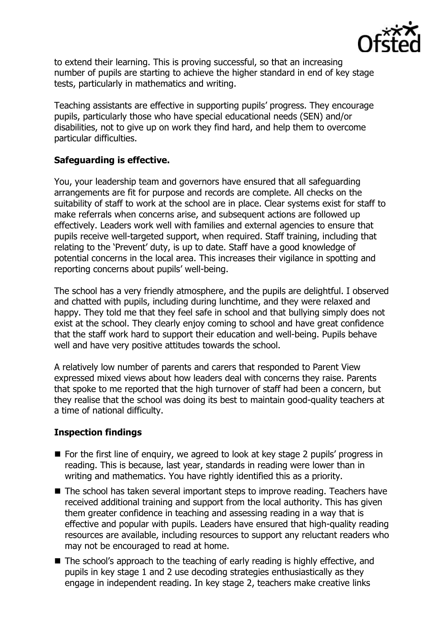

to extend their learning. This is proving successful, so that an increasing number of pupils are starting to achieve the higher standard in end of key stage tests, particularly in mathematics and writing.

Teaching assistants are effective in supporting pupils' progress. They encourage pupils, particularly those who have special educational needs (SEN) and/or disabilities, not to give up on work they find hard, and help them to overcome particular difficulties.

## **Safeguarding is effective.**

You, your leadership team and governors have ensured that all safeguarding arrangements are fit for purpose and records are complete. All checks on the suitability of staff to work at the school are in place. Clear systems exist for staff to make referrals when concerns arise, and subsequent actions are followed up effectively. Leaders work well with families and external agencies to ensure that pupils receive well-targeted support, when required. Staff training, including that relating to the 'Prevent' duty, is up to date. Staff have a good knowledge of potential concerns in the local area. This increases their vigilance in spotting and reporting concerns about pupils' well-being.

The school has a very friendly atmosphere, and the pupils are delightful. I observed and chatted with pupils, including during lunchtime, and they were relaxed and happy. They told me that they feel safe in school and that bullying simply does not exist at the school. They clearly enjoy coming to school and have great confidence that the staff work hard to support their education and well-being. Pupils behave well and have very positive attitudes towards the school.

A relatively low number of parents and carers that responded to Parent View expressed mixed views about how leaders deal with concerns they raise. Parents that spoke to me reported that the high turnover of staff had been a concern, but they realise that the school was doing its best to maintain good-quality teachers at a time of national difficulty.

# **Inspection findings**

- For the first line of enquiry, we agreed to look at key stage 2 pupils' progress in reading. This is because, last year, standards in reading were lower than in writing and mathematics. You have rightly identified this as a priority.
- The school has taken several important steps to improve reading. Teachers have received additional training and support from the local authority. This has given them greater confidence in teaching and assessing reading in a way that is effective and popular with pupils. Leaders have ensured that high-quality reading resources are available, including resources to support any reluctant readers who may not be encouraged to read at home.
- The school's approach to the teaching of early reading is highly effective, and pupils in key stage 1 and 2 use decoding strategies enthusiastically as they engage in independent reading. In key stage 2, teachers make creative links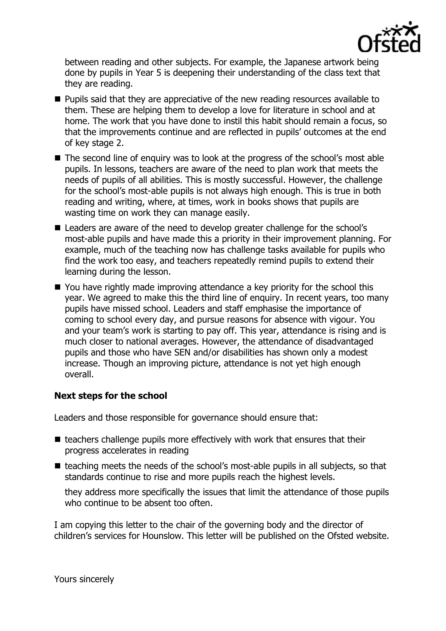

between reading and other subjects. For example, the Japanese artwork being done by pupils in Year 5 is deepening their understanding of the class text that they are reading.

- **Pupils said that they are appreciative of the new reading resources available to** them. These are helping them to develop a love for literature in school and at home. The work that you have done to instil this habit should remain a focus, so that the improvements continue and are reflected in pupils' outcomes at the end of key stage 2.
- The second line of enquiry was to look at the progress of the school's most able pupils. In lessons, teachers are aware of the need to plan work that meets the needs of pupils of all abilities. This is mostly successful. However, the challenge for the school's most-able pupils is not always high enough. This is true in both reading and writing, where, at times, work in books shows that pupils are wasting time on work they can manage easily.
- Leaders are aware of the need to develop greater challenge for the school's most-able pupils and have made this a priority in their improvement planning. For example, much of the teaching now has challenge tasks available for pupils who find the work too easy, and teachers repeatedly remind pupils to extend their learning during the lesson.
- You have rightly made improving attendance a key priority for the school this year. We agreed to make this the third line of enquiry. In recent years, too many pupils have missed school. Leaders and staff emphasise the importance of coming to school every day, and pursue reasons for absence with vigour. You and your team's work is starting to pay off. This year, attendance is rising and is much closer to national averages. However, the attendance of disadvantaged pupils and those who have SEN and/or disabilities has shown only a modest increase. Though an improving picture, attendance is not yet high enough overall.

# **Next steps for the school**

Leaders and those responsible for governance should ensure that:

- $\blacksquare$  teachers challenge pupils more effectively with work that ensures that their progress accelerates in reading
- $\blacksquare$  teaching meets the needs of the school's most-able pupils in all subjects, so that standards continue to rise and more pupils reach the highest levels.

they address more specifically the issues that limit the attendance of those pupils who continue to be absent too often.

I am copying this letter to the chair of the governing body and the director of children's services for Hounslow. This letter will be published on the Ofsted website.